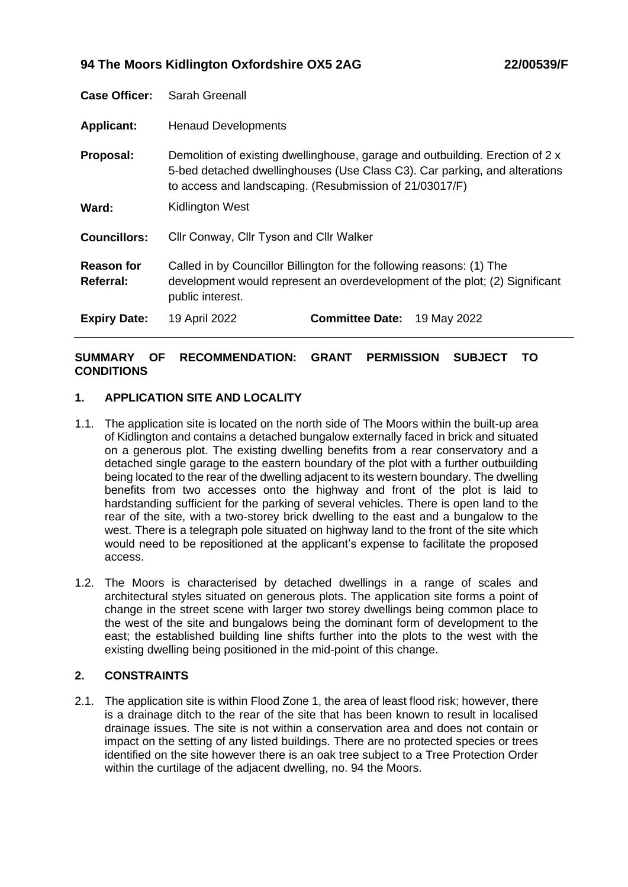# **94 The Moors Kidlington Oxfordshire OX5 2AG 22/00539/F**

| <b>Case Officer:</b>           | Sarah Greenall                                                                                                                                                                                                         |
|--------------------------------|------------------------------------------------------------------------------------------------------------------------------------------------------------------------------------------------------------------------|
| <b>Applicant:</b>              | <b>Henaud Developments</b>                                                                                                                                                                                             |
| Proposal:                      | Demolition of existing dwellinghouse, garage and outbuilding. Erection of 2 x<br>5-bed detached dwellinghouses (Use Class C3). Car parking, and alterations<br>to access and landscaping. (Resubmission of 21/03017/F) |
| Ward:                          | Kidlington West                                                                                                                                                                                                        |
| <b>Councillors:</b>            | Cllr Conway, Cllr Tyson and Cllr Walker                                                                                                                                                                                |
| <b>Reason for</b><br>Referral: | Called in by Councillor Billington for the following reasons: (1) The<br>development would represent an overdevelopment of the plot; (2) Significant<br>public interest.                                               |
| <b>Expiry Date:</b>            | 19 April 2022<br><b>Committee Date: 19 May 2022</b>                                                                                                                                                                    |

# **SUMMARY OF RECOMMENDATION: GRANT PERMISSION SUBJECT TO CONDITIONS**

# **1. APPLICATION SITE AND LOCALITY**

- 1.1. The application site is located on the north side of The Moors within the built-up area of Kidlington and contains a detached bungalow externally faced in brick and situated on a generous plot. The existing dwelling benefits from a rear conservatory and a detached single garage to the eastern boundary of the plot with a further outbuilding being located to the rear of the dwelling adjacent to its western boundary. The dwelling benefits from two accesses onto the highway and front of the plot is laid to hardstanding sufficient for the parking of several vehicles. There is open land to the rear of the site, with a two-storey brick dwelling to the east and a bungalow to the west. There is a telegraph pole situated on highway land to the front of the site which would need to be repositioned at the applicant's expense to facilitate the proposed access.
- 1.2. The Moors is characterised by detached dwellings in a range of scales and architectural styles situated on generous plots. The application site forms a point of change in the street scene with larger two storey dwellings being common place to the west of the site and bungalows being the dominant form of development to the east; the established building line shifts further into the plots to the west with the existing dwelling being positioned in the mid-point of this change.

## **2. CONSTRAINTS**

2.1. The application site is within Flood Zone 1, the area of least flood risk; however, there is a drainage ditch to the rear of the site that has been known to result in localised drainage issues. The site is not within a conservation area and does not contain or impact on the setting of any listed buildings. There are no protected species or trees identified on the site however there is an oak tree subject to a Tree Protection Order within the curtilage of the adjacent dwelling, no. 94 the Moors.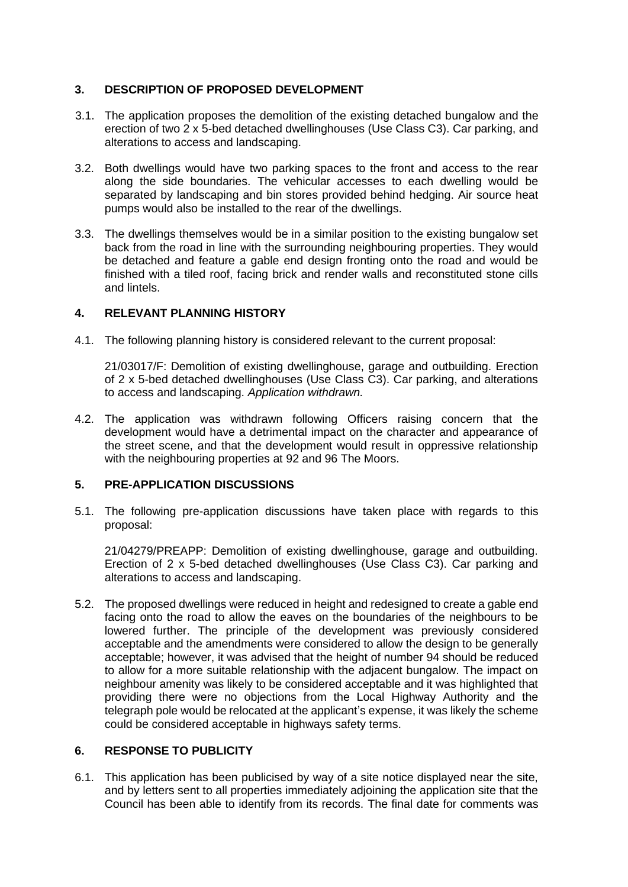# **3. DESCRIPTION OF PROPOSED DEVELOPMENT**

- 3.1. The application proposes the demolition of the existing detached bungalow and the erection of two 2 x 5-bed detached dwellinghouses (Use Class C3). Car parking, and alterations to access and landscaping.
- 3.2. Both dwellings would have two parking spaces to the front and access to the rear along the side boundaries. The vehicular accesses to each dwelling would be separated by landscaping and bin stores provided behind hedging. Air source heat pumps would also be installed to the rear of the dwellings.
- 3.3. The dwellings themselves would be in a similar position to the existing bungalow set back from the road in line with the surrounding neighbouring properties. They would be detached and feature a gable end design fronting onto the road and would be finished with a tiled roof, facing brick and render walls and reconstituted stone cills and lintels.

# **4. RELEVANT PLANNING HISTORY**

4.1. The following planning history is considered relevant to the current proposal:

21/03017/F: Demolition of existing dwellinghouse, garage and outbuilding. Erection of 2 x 5-bed detached dwellinghouses (Use Class C3). Car parking, and alterations to access and landscaping. *Application withdrawn.* 

4.2. The application was withdrawn following Officers raising concern that the development would have a detrimental impact on the character and appearance of the street scene, and that the development would result in oppressive relationship with the neighbouring properties at 92 and 96 The Moors.

## **5. PRE-APPLICATION DISCUSSIONS**

5.1. The following pre-application discussions have taken place with regards to this proposal:

21/04279/PREAPP: Demolition of existing dwellinghouse, garage and outbuilding. Erection of 2 x 5-bed detached dwellinghouses (Use Class C3). Car parking and alterations to access and landscaping.

5.2. The proposed dwellings were reduced in height and redesigned to create a gable end facing onto the road to allow the eaves on the boundaries of the neighbours to be lowered further. The principle of the development was previously considered acceptable and the amendments were considered to allow the design to be generally acceptable; however, it was advised that the height of number 94 should be reduced to allow for a more suitable relationship with the adjacent bungalow. The impact on neighbour amenity was likely to be considered acceptable and it was highlighted that providing there were no objections from the Local Highway Authority and the telegraph pole would be relocated at the applicant's expense, it was likely the scheme could be considered acceptable in highways safety terms.

## **6. RESPONSE TO PUBLICITY**

6.1. This application has been publicised by way of a site notice displayed near the site, and by letters sent to all properties immediately adjoining the application site that the Council has been able to identify from its records. The final date for comments was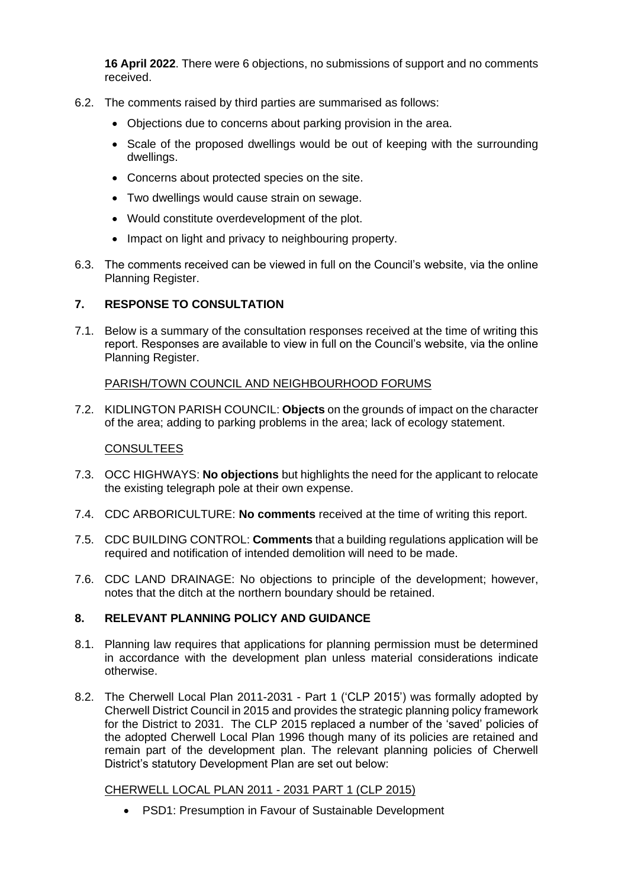**16 April 2022**. There were 6 objections, no submissions of support and no comments received.

- 6.2. The comments raised by third parties are summarised as follows:
	- Objections due to concerns about parking provision in the area.
	- Scale of the proposed dwellings would be out of keeping with the surrounding dwellings.
	- Concerns about protected species on the site.
	- Two dwellings would cause strain on sewage.
	- Would constitute overdevelopment of the plot.
	- Impact on light and privacy to neighbouring property.
- 6.3. The comments received can be viewed in full on the Council's website, via the online Planning Register.

# **7. RESPONSE TO CONSULTATION**

7.1. Below is a summary of the consultation responses received at the time of writing this report. Responses are available to view in full on the Council's website, via the online Planning Register.

## PARISH/TOWN COUNCIL AND NEIGHBOURHOOD FORUMS

7.2. KIDLINGTON PARISH COUNCIL: **Objects** on the grounds of impact on the character of the area; adding to parking problems in the area; lack of ecology statement.

## **CONSULTEES**

- 7.3. OCC HIGHWAYS: **No objections** but highlights the need for the applicant to relocate the existing telegraph pole at their own expense.
- 7.4. CDC ARBORICULTURE: **No comments** received at the time of writing this report.
- 7.5. CDC BUILDING CONTROL: **Comments** that a building regulations application will be required and notification of intended demolition will need to be made.
- 7.6. CDC LAND DRAINAGE: No objections to principle of the development; however, notes that the ditch at the northern boundary should be retained.

## **8. RELEVANT PLANNING POLICY AND GUIDANCE**

- 8.1. Planning law requires that applications for planning permission must be determined in accordance with the development plan unless material considerations indicate otherwise.
- 8.2. The Cherwell Local Plan 2011-2031 Part 1 ('CLP 2015') was formally adopted by Cherwell District Council in 2015 and provides the strategic planning policy framework for the District to 2031. The CLP 2015 replaced a number of the 'saved' policies of the adopted Cherwell Local Plan 1996 though many of its policies are retained and remain part of the development plan. The relevant planning policies of Cherwell District's statutory Development Plan are set out below:

## CHERWELL LOCAL PLAN 2011 - 2031 PART 1 (CLP 2015)

• PSD1: Presumption in Favour of Sustainable Development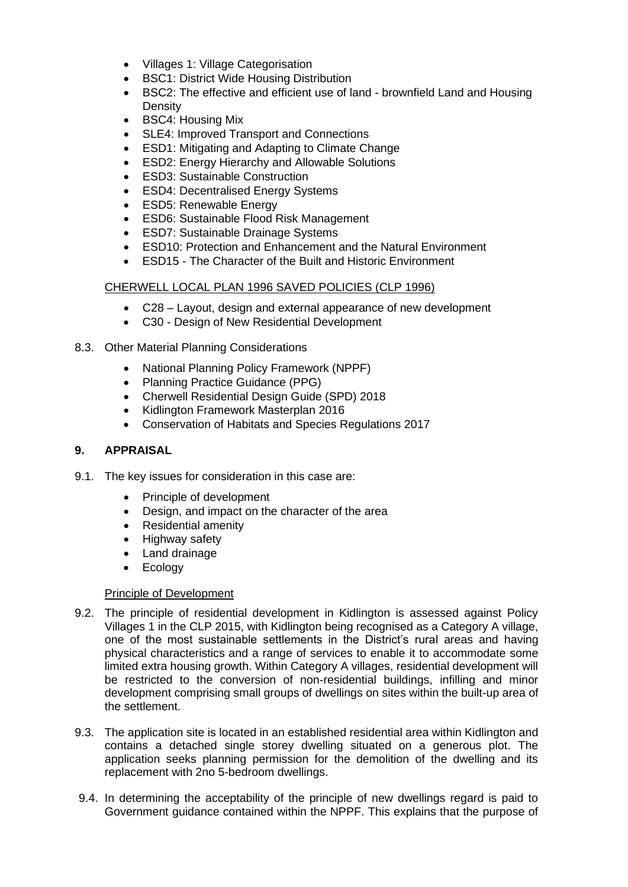- Villages 1: Village Categorisation
- BSC1: District Wide Housing Distribution
- BSC2: The effective and efficient use of land brownfield Land and Housing **Density**
- BSC4: Housing Mix
- SLE4: Improved Transport and Connections
- ESD1: Mitigating and Adapting to Climate Change
- ESD2: Energy Hierarchy and Allowable Solutions
- ESD3: Sustainable Construction
- ESD4: Decentralised Energy Systems
- ESD5: Renewable Energy
- ESD6: Sustainable Flood Risk Management
- ESD7: Sustainable Drainage Systems
- ESD10: Protection and Enhancement and the Natural Environment
- ESD15 The Character of the Built and Historic Environment

## CHERWELL LOCAL PLAN 1996 SAVED POLICIES (CLP 1996)

- C28 Layout, design and external appearance of new development
- C30 Design of New Residential Development
- 8.3. Other Material Planning Considerations
	- National Planning Policy Framework (NPPF)
	- Planning Practice Guidance (PPG)
	- Cherwell Residential Design Guide (SPD) 2018
	- Kidlington Framework Masterplan 2016
	- Conservation of Habitats and Species Regulations 2017

## **9. APPRAISAL**

- 9.1. The key issues for consideration in this case are:
	- Principle of development
	- Design, and impact on the character of the area
	- Residential amenity
	- Highway safety
	- Land drainage
	- Ecology

### Principle of Development

- 9.2. The principle of residential development in Kidlington is assessed against Policy Villages 1 in the CLP 2015, with Kidlington being recognised as a Category A village, one of the most sustainable settlements in the District's rural areas and having physical characteristics and a range of services to enable it to accommodate some limited extra housing growth. Within Category A villages, residential development will be restricted to the conversion of non-residential buildings, infilling and minor development comprising small groups of dwellings on sites within the built-up area of the settlement.
- 9.3. The application site is located in an established residential area within Kidlington and contains a detached single storey dwelling situated on a generous plot. The application seeks planning permission for the demolition of the dwelling and its replacement with 2no 5-bedroom dwellings.
- 9.4. In determining the acceptability of the principle of new dwellings regard is paid to Government guidance contained within the NPPF. This explains that the purpose of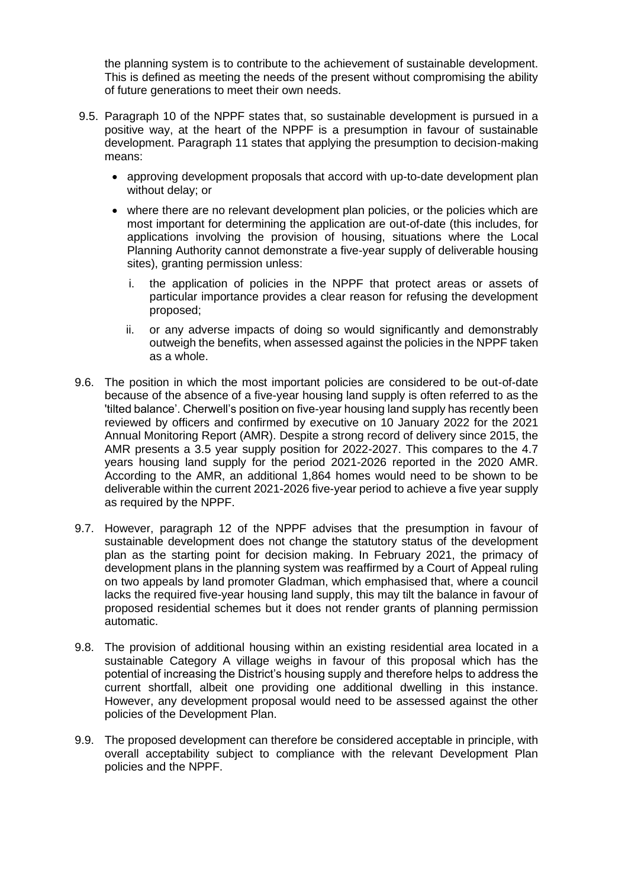the planning system is to contribute to the achievement of sustainable development. This is defined as meeting the needs of the present without compromising the ability of future generations to meet their own needs.

- 9.5. Paragraph 10 of the NPPF states that, so sustainable development is pursued in a positive way, at the heart of the NPPF is a presumption in favour of sustainable development. Paragraph 11 states that applying the presumption to decision-making means:
	- approving development proposals that accord with up-to-date development plan without delay; or
	- where there are no relevant development plan policies, or the policies which are most important for determining the application are out-of-date (this includes, for applications involving the provision of housing, situations where the Local Planning Authority cannot demonstrate a five-year supply of deliverable housing sites), granting permission unless:
		- i. the application of policies in the NPPF that protect areas or assets of particular importance provides a clear reason for refusing the development proposed;
		- ii. or any adverse impacts of doing so would significantly and demonstrably outweigh the benefits, when assessed against the policies in the NPPF taken as a whole.
- 9.6. The position in which the most important policies are considered to be out-of-date because of the absence of a five-year housing land supply is often referred to as the 'tilted balance'. Cherwell's position on five-year housing land supply has recently been reviewed by officers and confirmed by executive on 10 January 2022 for the 2021 Annual Monitoring Report (AMR). Despite a strong record of delivery since 2015, the AMR presents a 3.5 year supply position for 2022-2027. This compares to the 4.7 years housing land supply for the period 2021-2026 reported in the 2020 AMR. According to the AMR, an additional 1,864 homes would need to be shown to be deliverable within the current 2021-2026 five-year period to achieve a five year supply as required by the NPPF.
- 9.7. However, paragraph 12 of the NPPF advises that the presumption in favour of sustainable development does not change the statutory status of the development plan as the starting point for decision making. In February 2021, the primacy of development plans in the planning system was reaffirmed by a Court of Appeal ruling on two appeals by land promoter Gladman, which emphasised that, where a council lacks the required five-year housing land supply, this may tilt the balance in favour of proposed residential schemes but it does not render grants of planning permission automatic.
- 9.8. The provision of additional housing within an existing residential area located in a sustainable Category A village weighs in favour of this proposal which has the potential of increasing the District's housing supply and therefore helps to address the current shortfall, albeit one providing one additional dwelling in this instance. However, any development proposal would need to be assessed against the other policies of the Development Plan.
- 9.9. The proposed development can therefore be considered acceptable in principle, with overall acceptability subject to compliance with the relevant Development Plan policies and the NPPF.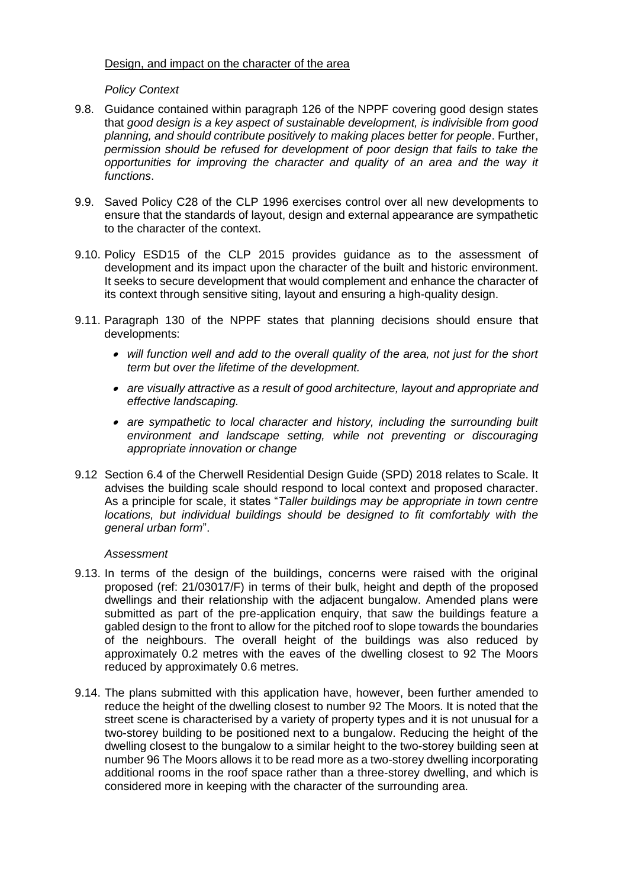## Design, and impact on the character of the area

# *Policy Context*

- 9.8. Guidance contained within paragraph 126 of the NPPF covering good design states that *good design is a key aspect of sustainable development, is indivisible from good planning, and should contribute positively to making places better for people*. Further, *permission should be refused for development of poor design that fails to take the opportunities for improving the character and quality of an area and the way it functions*.
- 9.9. Saved Policy C28 of the CLP 1996 exercises control over all new developments to ensure that the standards of layout, design and external appearance are sympathetic to the character of the context.
- 9.10. Policy ESD15 of the CLP 2015 provides guidance as to the assessment of development and its impact upon the character of the built and historic environment. It seeks to secure development that would complement and enhance the character of its context through sensitive siting, layout and ensuring a high-quality design.
- 9.11. Paragraph 130 of the NPPF states that planning decisions should ensure that developments:
	- *will function well and add to the overall quality of the area, not just for the short term but over the lifetime of the development.*
	- *are visually attractive as a result of good architecture, layout and appropriate and effective landscaping.*
	- *are sympathetic to local character and history, including the surrounding built environment and landscape setting, while not preventing or discouraging appropriate innovation or change*
- 9.12 Section 6.4 of the Cherwell Residential Design Guide (SPD) 2018 relates to Scale. It advises the building scale should respond to local context and proposed character. As a principle for scale, it states "*Taller buildings may be appropriate in town centre locations, but individual buildings should be designed to fit comfortably with the general urban form*".

## *Assessment*

- 9.13. In terms of the design of the buildings, concerns were raised with the original proposed (ref: 21/03017/F) in terms of their bulk, height and depth of the proposed dwellings and their relationship with the adjacent bungalow. Amended plans were submitted as part of the pre-application enquiry, that saw the buildings feature a gabled design to the front to allow for the pitched roof to slope towards the boundaries of the neighbours. The overall height of the buildings was also reduced by approximately 0.2 metres with the eaves of the dwelling closest to 92 The Moors reduced by approximately 0.6 metres.
- 9.14. The plans submitted with this application have, however, been further amended to reduce the height of the dwelling closest to number 92 The Moors. It is noted that the street scene is characterised by a variety of property types and it is not unusual for a two-storey building to be positioned next to a bungalow. Reducing the height of the dwelling closest to the bungalow to a similar height to the two-storey building seen at number 96 The Moors allows it to be read more as a two-storey dwelling incorporating additional rooms in the roof space rather than a three-storey dwelling, and which is considered more in keeping with the character of the surrounding area.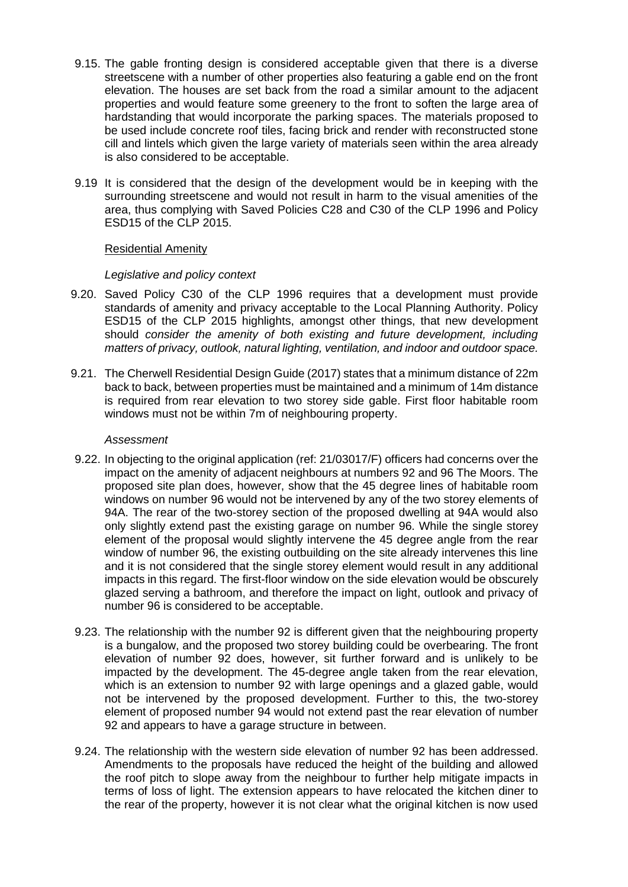- 9.15. The gable fronting design is considered acceptable given that there is a diverse streetscene with a number of other properties also featuring a gable end on the front elevation. The houses are set back from the road a similar amount to the adjacent properties and would feature some greenery to the front to soften the large area of hardstanding that would incorporate the parking spaces. The materials proposed to be used include concrete roof tiles, facing brick and render with reconstructed stone cill and lintels which given the large variety of materials seen within the area already is also considered to be acceptable.
- 9.19 It is considered that the design of the development would be in keeping with the surrounding streetscene and would not result in harm to the visual amenities of the area, thus complying with Saved Policies C28 and C30 of the CLP 1996 and Policy ESD15 of the CLP 2015.

### Residential Amenity

### *Legislative and policy context*

- 9.20. Saved Policy C30 of the CLP 1996 requires that a development must provide standards of amenity and privacy acceptable to the Local Planning Authority. Policy ESD15 of the CLP 2015 highlights, amongst other things, that new development should *consider the amenity of both existing and future development, including matters of privacy, outlook, natural lighting, ventilation, and indoor and outdoor space.*
- 9.21. The Cherwell Residential Design Guide (2017) states that a minimum distance of 22m back to back, between properties must be maintained and a minimum of 14m distance is required from rear elevation to two storey side gable. First floor habitable room windows must not be within 7m of neighbouring property.

#### *Assessment*

- 9.22. In objecting to the original application (ref: 21/03017/F) officers had concerns over the impact on the amenity of adjacent neighbours at numbers 92 and 96 The Moors. The proposed site plan does, however, show that the 45 degree lines of habitable room windows on number 96 would not be intervened by any of the two storey elements of 94A. The rear of the two-storey section of the proposed dwelling at 94A would also only slightly extend past the existing garage on number 96. While the single storey element of the proposal would slightly intervene the 45 degree angle from the rear window of number 96, the existing outbuilding on the site already intervenes this line and it is not considered that the single storey element would result in any additional impacts in this regard. The first-floor window on the side elevation would be obscurely glazed serving a bathroom, and therefore the impact on light, outlook and privacy of number 96 is considered to be acceptable.
- 9.23. The relationship with the number 92 is different given that the neighbouring property is a bungalow, and the proposed two storey building could be overbearing. The front elevation of number 92 does, however, sit further forward and is unlikely to be impacted by the development. The 45-degree angle taken from the rear elevation, which is an extension to number 92 with large openings and a glazed gable, would not be intervened by the proposed development. Further to this, the two-storey element of proposed number 94 would not extend past the rear elevation of number 92 and appears to have a garage structure in between.
- 9.24. The relationship with the western side elevation of number 92 has been addressed. Amendments to the proposals have reduced the height of the building and allowed the roof pitch to slope away from the neighbour to further help mitigate impacts in terms of loss of light. The extension appears to have relocated the kitchen diner to the rear of the property, however it is not clear what the original kitchen is now used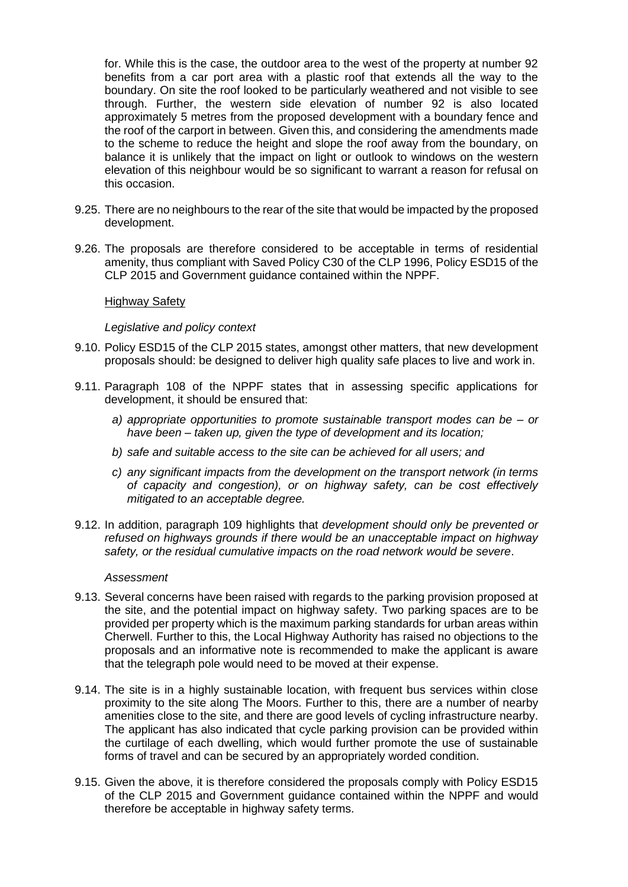for. While this is the case, the outdoor area to the west of the property at number 92 benefits from a car port area with a plastic roof that extends all the way to the boundary. On site the roof looked to be particularly weathered and not visible to see through. Further, the western side elevation of number 92 is also located approximately 5 metres from the proposed development with a boundary fence and the roof of the carport in between. Given this, and considering the amendments made to the scheme to reduce the height and slope the roof away from the boundary, on balance it is unlikely that the impact on light or outlook to windows on the western elevation of this neighbour would be so significant to warrant a reason for refusal on this occasion.

- 9.25. There are no neighbours to the rear of the site that would be impacted by the proposed development.
- 9.26. The proposals are therefore considered to be acceptable in terms of residential amenity, thus compliant with Saved Policy C30 of the CLP 1996, Policy ESD15 of the CLP 2015 and Government guidance contained within the NPPF.

### Highway Safety

#### *Legislative and policy context*

- 9.10. Policy ESD15 of the CLP 2015 states, amongst other matters, that new development proposals should: be designed to deliver high quality safe places to live and work in.
- 9.11. Paragraph 108 of the NPPF states that in assessing specific applications for development, it should be ensured that:
	- *a) appropriate opportunities to promote sustainable transport modes can be – or have been – taken up, given the type of development and its location;*
	- *b) safe and suitable access to the site can be achieved for all users; and*
	- *c) any significant impacts from the development on the transport network (in terms of capacity and congestion), or on highway safety, can be cost effectively mitigated to an acceptable degree.*
- 9.12. In addition, paragraph 109 highlights that *development should only be prevented or refused on highways grounds if there would be an unacceptable impact on highway safety, or the residual cumulative impacts on the road network would be severe*.

#### *Assessment*

- 9.13. Several concerns have been raised with regards to the parking provision proposed at the site, and the potential impact on highway safety. Two parking spaces are to be provided per property which is the maximum parking standards for urban areas within Cherwell. Further to this, the Local Highway Authority has raised no objections to the proposals and an informative note is recommended to make the applicant is aware that the telegraph pole would need to be moved at their expense.
- 9.14. The site is in a highly sustainable location, with frequent bus services within close proximity to the site along The Moors. Further to this, there are a number of nearby amenities close to the site, and there are good levels of cycling infrastructure nearby. The applicant has also indicated that cycle parking provision can be provided within the curtilage of each dwelling, which would further promote the use of sustainable forms of travel and can be secured by an appropriately worded condition.
- 9.15. Given the above, it is therefore considered the proposals comply with Policy ESD15 of the CLP 2015 and Government guidance contained within the NPPF and would therefore be acceptable in highway safety terms.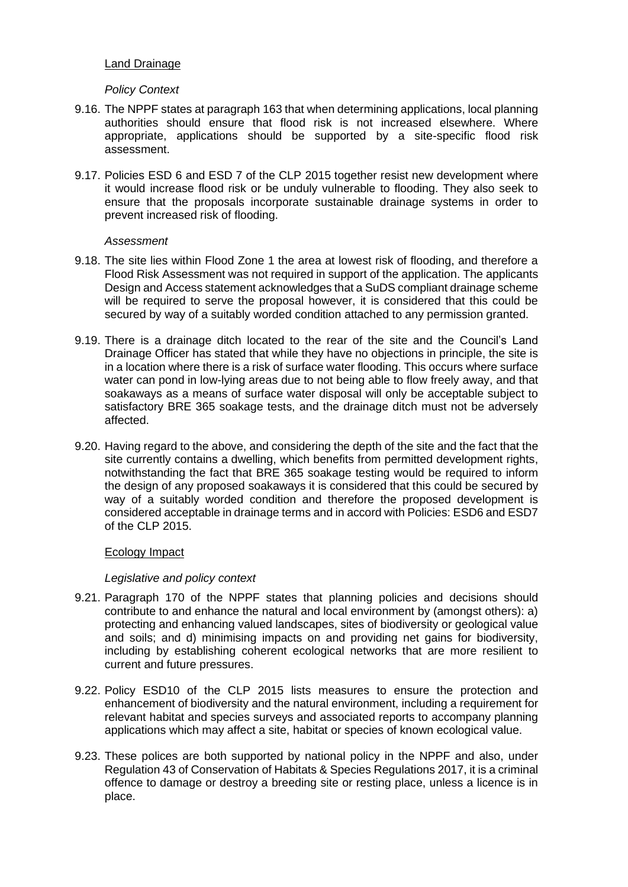## Land Drainage

### *Policy Context*

- 9.16. The NPPF states at paragraph 163 that when determining applications, local planning authorities should ensure that flood risk is not increased elsewhere. Where appropriate, applications should be supported by a site-specific flood risk assessment.
- 9.17. Policies ESD 6 and ESD 7 of the CLP 2015 together resist new development where it would increase flood risk or be unduly vulnerable to flooding. They also seek to ensure that the proposals incorporate sustainable drainage systems in order to prevent increased risk of flooding.

### *Assessment*

- 9.18. The site lies within Flood Zone 1 the area at lowest risk of flooding, and therefore a Flood Risk Assessment was not required in support of the application. The applicants Design and Access statement acknowledges that a SuDS compliant drainage scheme will be required to serve the proposal however, it is considered that this could be secured by way of a suitably worded condition attached to any permission granted.
- 9.19. There is a drainage ditch located to the rear of the site and the Council's Land Drainage Officer has stated that while they have no objections in principle, the site is in a location where there is a risk of surface water flooding. This occurs where surface water can pond in low-lying areas due to not being able to flow freely away, and that soakaways as a means of surface water disposal will only be acceptable subject to satisfactory BRE 365 soakage tests, and the drainage ditch must not be adversely affected.
- 9.20. Having regard to the above, and considering the depth of the site and the fact that the site currently contains a dwelling, which benefits from permitted development rights, notwithstanding the fact that BRE 365 soakage testing would be required to inform the design of any proposed soakaways it is considered that this could be secured by way of a suitably worded condition and therefore the proposed development is considered acceptable in drainage terms and in accord with Policies: ESD6 and ESD7 of the CLP 2015.

### Ecology Impact

### *Legislative and policy context*

- 9.21. Paragraph 170 of the NPPF states that planning policies and decisions should contribute to and enhance the natural and local environment by (amongst others): a) protecting and enhancing valued landscapes, sites of biodiversity or geological value and soils; and d) minimising impacts on and providing net gains for biodiversity, including by establishing coherent ecological networks that are more resilient to current and future pressures.
- 9.22. Policy ESD10 of the CLP 2015 lists measures to ensure the protection and enhancement of biodiversity and the natural environment, including a requirement for relevant habitat and species surveys and associated reports to accompany planning applications which may affect a site, habitat or species of known ecological value.
- 9.23. These polices are both supported by national policy in the NPPF and also, under Regulation 43 of Conservation of Habitats & Species Regulations 2017, it is a criminal offence to damage or destroy a breeding site or resting place, unless a licence is in place.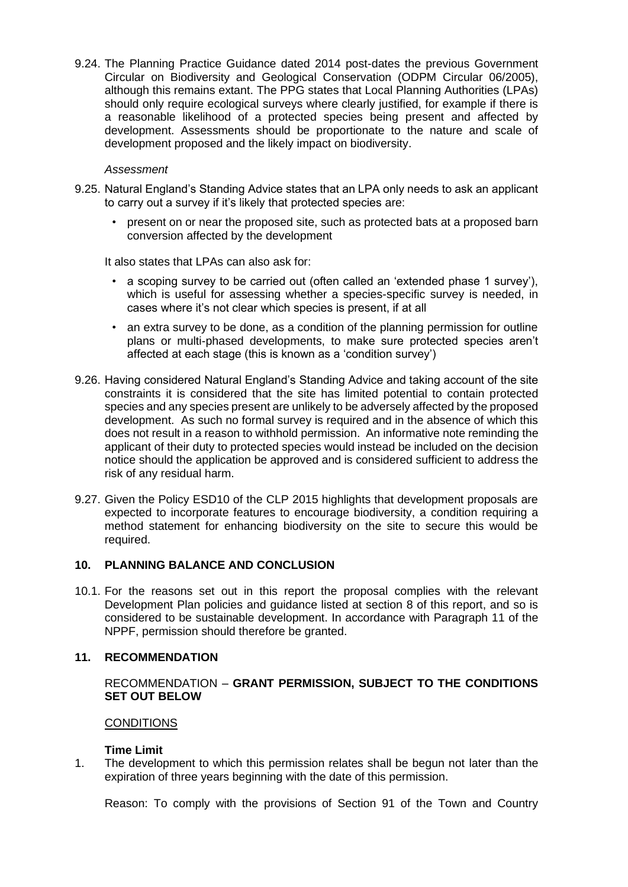9.24. The Planning Practice Guidance dated 2014 post-dates the previous Government Circular on Biodiversity and Geological Conservation (ODPM Circular 06/2005), although this remains extant. The PPG states that Local Planning Authorities (LPAs) should only require ecological surveys where clearly justified, for example if there is a reasonable likelihood of a protected species being present and affected by development. Assessments should be proportionate to the nature and scale of development proposed and the likely impact on biodiversity.

### *Assessment*

- 9.25. Natural England's Standing Advice states that an LPA only needs to ask an applicant to carry out a survey if it's likely that protected species are:
	- present on or near the proposed site, such as protected bats at a proposed barn conversion affected by the development

It also states that LPAs can also ask for:

- a scoping survey to be carried out (often called an 'extended phase 1 survey'), which is useful for assessing whether a species-specific survey is needed, in cases where it's not clear which species is present, if at all
- an extra survey to be done, as a condition of the planning permission for outline plans or multi-phased developments, to make sure protected species aren't affected at each stage (this is known as a 'condition survey')
- 9.26. Having considered Natural England's Standing Advice and taking account of the site constraints it is considered that the site has limited potential to contain protected species and any species present are unlikely to be adversely affected by the proposed development. As such no formal survey is required and in the absence of which this does not result in a reason to withhold permission. An informative note reminding the applicant of their duty to protected species would instead be included on the decision notice should the application be approved and is considered sufficient to address the risk of any residual harm.
- 9.27. Given the Policy ESD10 of the CLP 2015 highlights that development proposals are expected to incorporate features to encourage biodiversity, a condition requiring a method statement for enhancing biodiversity on the site to secure this would be required.

## **10. PLANNING BALANCE AND CONCLUSION**

10.1. For the reasons set out in this report the proposal complies with the relevant Development Plan policies and guidance listed at section 8 of this report, and so is considered to be sustainable development. In accordance with Paragraph 11 of the NPPF, permission should therefore be granted.

## **11. RECOMMENDATION**

## RECOMMENDATION – **GRANT PERMISSION, SUBJECT TO THE CONDITIONS SET OUT BELOW**

### **CONDITIONS**

### **Time Limit**

1. The development to which this permission relates shall be begun not later than the expiration of three years beginning with the date of this permission.

Reason: To comply with the provisions of Section 91 of the Town and Country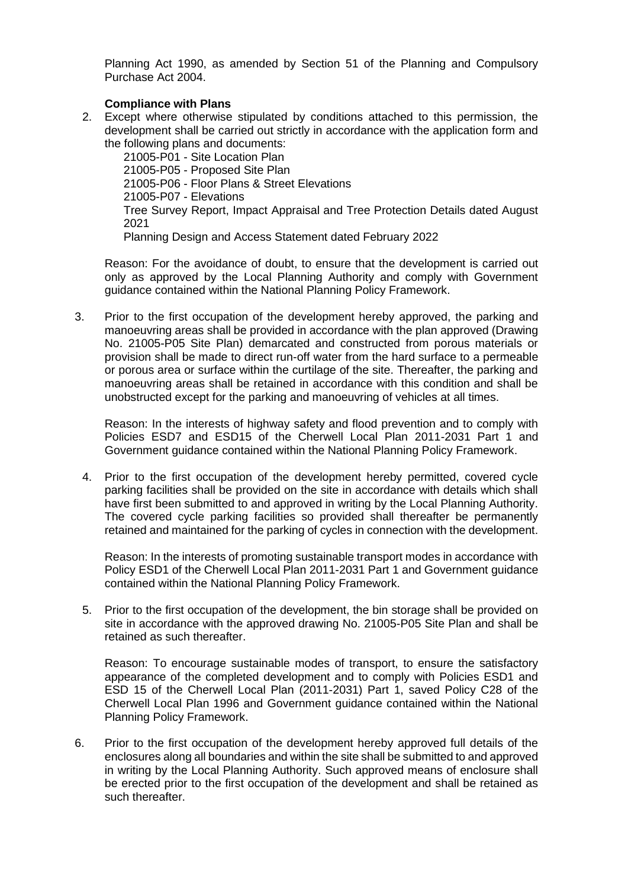Planning Act 1990, as amended by Section 51 of the Planning and Compulsory Purchase Act 2004.

## **Compliance with Plans**

2. Except where otherwise stipulated by conditions attached to this permission, the development shall be carried out strictly in accordance with the application form and the following plans and documents:

21005-P01 - Site Location Plan 21005-P05 - Proposed Site Plan 21005-P06 - Floor Plans & Street Elevations 21005-P07 - Elevations Tree Survey Report, Impact Appraisal and Tree Protection Details dated August 2021 Planning Design and Access Statement dated February 2022

Reason: For the avoidance of doubt, to ensure that the development is carried out only as approved by the Local Planning Authority and comply with Government guidance contained within the National Planning Policy Framework.

3. Prior to the first occupation of the development hereby approved, the parking and manoeuvring areas shall be provided in accordance with the plan approved (Drawing No. 21005-P05 Site Plan) demarcated and constructed from porous materials or provision shall be made to direct run-off water from the hard surface to a permeable or porous area or surface within the curtilage of the site. Thereafter, the parking and manoeuvring areas shall be retained in accordance with this condition and shall be unobstructed except for the parking and manoeuvring of vehicles at all times.

Reason: In the interests of highway safety and flood prevention and to comply with Policies ESD7 and ESD15 of the Cherwell Local Plan 2011-2031 Part 1 and Government guidance contained within the National Planning Policy Framework.

4. Prior to the first occupation of the development hereby permitted, covered cycle parking facilities shall be provided on the site in accordance with details which shall have first been submitted to and approved in writing by the Local Planning Authority. The covered cycle parking facilities so provided shall thereafter be permanently retained and maintained for the parking of cycles in connection with the development.

Reason: In the interests of promoting sustainable transport modes in accordance with Policy ESD1 of the Cherwell Local Plan 2011-2031 Part 1 and Government guidance contained within the National Planning Policy Framework.

5. Prior to the first occupation of the development, the bin storage shall be provided on site in accordance with the approved drawing No. 21005-P05 Site Plan and shall be retained as such thereafter.

Reason: To encourage sustainable modes of transport, to ensure the satisfactory appearance of the completed development and to comply with Policies ESD1 and ESD 15 of the Cherwell Local Plan (2011-2031) Part 1, saved Policy C28 of the Cherwell Local Plan 1996 and Government guidance contained within the National Planning Policy Framework.

6. Prior to the first occupation of the development hereby approved full details of the enclosures along all boundaries and within the site shall be submitted to and approved in writing by the Local Planning Authority. Such approved means of enclosure shall be erected prior to the first occupation of the development and shall be retained as such thereafter.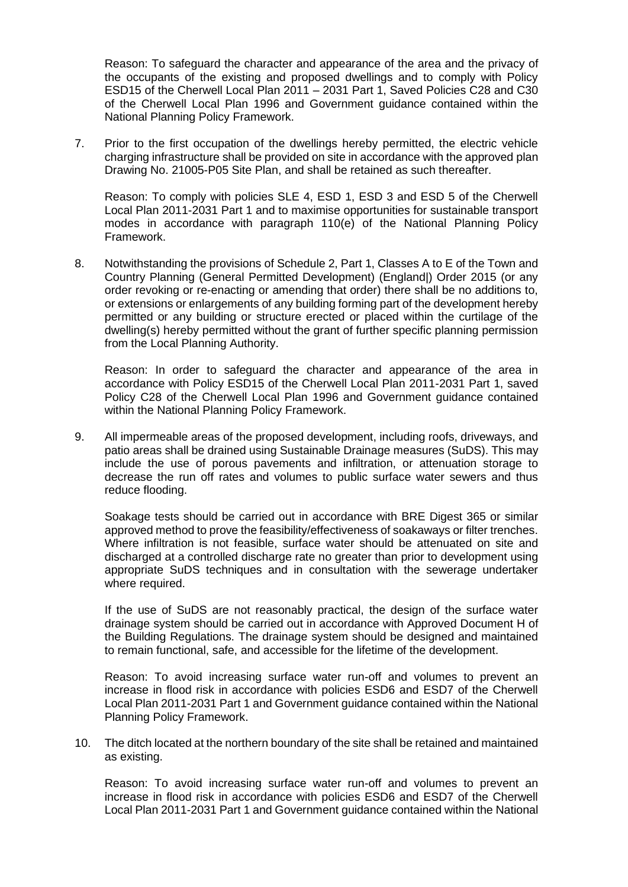Reason: To safeguard the character and appearance of the area and the privacy of the occupants of the existing and proposed dwellings and to comply with Policy ESD15 of the Cherwell Local Plan 2011 – 2031 Part 1, Saved Policies C28 and C30 of the Cherwell Local Plan 1996 and Government guidance contained within the National Planning Policy Framework.

7. Prior to the first occupation of the dwellings hereby permitted, the electric vehicle charging infrastructure shall be provided on site in accordance with the approved plan Drawing No. 21005-P05 Site Plan, and shall be retained as such thereafter.

Reason: To comply with policies SLE 4, ESD 1, ESD 3 and ESD 5 of the Cherwell Local Plan 2011-2031 Part 1 and to maximise opportunities for sustainable transport modes in accordance with paragraph 110(e) of the National Planning Policy Framework.

8. Notwithstanding the provisions of Schedule 2, Part 1, Classes A to E of the Town and Country Planning (General Permitted Development) (England|) Order 2015 (or any order revoking or re-enacting or amending that order) there shall be no additions to, or extensions or enlargements of any building forming part of the development hereby permitted or any building or structure erected or placed within the curtilage of the dwelling(s) hereby permitted without the grant of further specific planning permission from the Local Planning Authority.

Reason: In order to safeguard the character and appearance of the area in accordance with Policy ESD15 of the Cherwell Local Plan 2011-2031 Part 1, saved Policy C28 of the Cherwell Local Plan 1996 and Government guidance contained within the National Planning Policy Framework.

9. All impermeable areas of the proposed development, including roofs, driveways, and patio areas shall be drained using Sustainable Drainage measures (SuDS). This may include the use of porous pavements and infiltration, or attenuation storage to decrease the run off rates and volumes to public surface water sewers and thus reduce flooding.

Soakage tests should be carried out in accordance with BRE Digest 365 or similar approved method to prove the feasibility/effectiveness of soakaways or filter trenches. Where infiltration is not feasible, surface water should be attenuated on site and discharged at a controlled discharge rate no greater than prior to development using appropriate SuDS techniques and in consultation with the sewerage undertaker where required.

If the use of SuDS are not reasonably practical, the design of the surface water drainage system should be carried out in accordance with Approved Document H of the Building Regulations. The drainage system should be designed and maintained to remain functional, safe, and accessible for the lifetime of the development.

Reason: To avoid increasing surface water run-off and volumes to prevent an increase in flood risk in accordance with policies ESD6 and ESD7 of the Cherwell Local Plan 2011-2031 Part 1 and Government guidance contained within the National Planning Policy Framework.

10. The ditch located at the northern boundary of the site shall be retained and maintained as existing.

Reason: To avoid increasing surface water run-off and volumes to prevent an increase in flood risk in accordance with policies ESD6 and ESD7 of the Cherwell Local Plan 2011-2031 Part 1 and Government guidance contained within the National